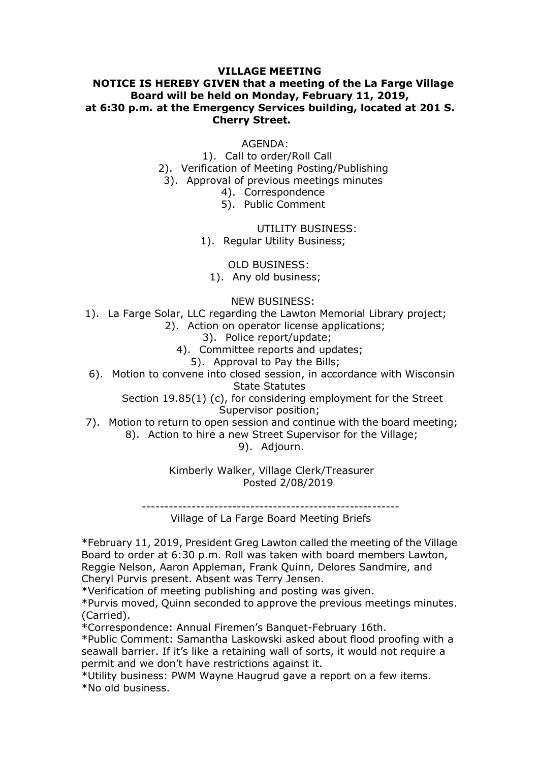## VILLAGE MEETING<br>VEN that a meeting of the La Farge Village<br>eld on Monday, February 11, 2019,<br>rgency Services building, located at 201 S.<br>:herry Street. VILLAGE MEETING<br>NOTICE IS HEREBY GIVEN that a meeting of the La Farge Village<br>Board will be held on Monday, February 11, 2019,<br>t 6:30 p.m. at the Emergency Services building, located at 201 S.<br>Cherry Street. VILLAGE MEETING<br>Board will be held on Monday, February 11, 2019,<br>Board will be held on Monday, February 11, 2019,<br>p.m. at the Emergency Services building, located at 201 S.<br>Cherry Street.<br>AGENDA: VILLAGE MEETING<br>
VILLAGE MEETING<br>
Board will be held on Monday, February 11, 2019,<br>
at 6:30 p.m. at the Emergency Services building, located at 201 S.<br>
Cherry Street.<br>
AGENDA:<br>
1). Call to order/Roll Call **VILLAGE MEETING<br>IVEN that a meeting of the La Farge Village<br>ield on Monday, February 11, 2019,<br>ergency Services building, located at 201 S.<br>Cherry Street.<br>AGENDA:<br>. Call to order/Roll Call<br>ation of Meeting Posting/Publish** VILLAGE MEETING<br>
GIVEN that a meeting of the La Farge Village<br>
I: held on Monday, February 11, 2019,<br>
mergency Services building, located at 201 S.<br>
Cherry Street.<br>
AGENDA:<br>
1). Call to order/Roll Call<br>
fication of Meeting VILLAGE MEETING<br>
HEREBY GIVEN that a meeting of the La Farge Village<br>
d will be held on Monday, February 11, 2019,<br>
at the Emergency Services building, located at 201 S.<br>
Cherry Street.<br>
AGENDA:<br>
1). Call to order/Roll Cal VILLAGE MEETING<br>
EREBY GIVEN that a meeting of the La Farge Village<br>
will be held on Monday, February 11, 2019,<br>
t the Emergency Services building, located at 201 S.<br>
Cherry Street.<br>
AGENDA:<br>
1). Call to order/Roll Call<br>
2 **VILLAGE MEETING<br>VEN that a meeting of the La Farge Village<br>Id on Monday, February 11, 2019,<br>gency Services building, located at 201 S.<br>herry Street.<br>AGENDA:<br>Call to order/Roll Call<br>ion of Meeting Posting/Publishing<br>al of** VILLAGE MEETING<br>VEN that a meeting of the La Farge Village<br>Id on Monday, February 11, 2019,<br>gency Services building, located at 201 S.<br>herry Street.<br>AGENDA:<br>Call to order/Roll Call<br>valid for Meeting Posting/Publishing<br>val FRIMENTING<br>
International of the La Farge Village<br>
Ionday, February 11, 2019,<br>
Services building, located at 201 S.<br>
Street.<br>
ENDA:<br>
Order/Roll Call<br>
Meeting Posting/Publishing<br>
revious meetings minutes<br>
rrespondence<br>
UTIL **VILLAGE MEETING**<br> **GIVEN that a meeting of the La Farge Village<br>
<b>ENDEN that a meeting of the La Farge Village**<br> **mergency Services building, located at 201 S.**<br> **Cherry Street.**<br>
AGENDA:<br>
1). Call to order/Roll Call<br>
fic ILLAGE MEETING<br>
IN that a meeting of the La Farge Village<br>
I on Monday, February 11, 2019,<br>
ency Services building, located at 201 S.<br>
Erry Street.<br>
AGENDA:<br>
AGENDA:<br>
Dio order/Roll Call<br>
Inn of Meeting Posting/Publishing<br> **VILLAGE MEETING**<br> **IIVEN that a meeting of the La Farge Village**<br> **held on Monday, February 11, 2019,**<br> **ergency Services building, located at 201 S.**<br> **Cherry Street.**<br>
AGENDA:<br>
.). Call to order/Roll Call<br>
coval of Meet **LLAGE MEETING**<br> **N** that a meeting of the La Farge Village<br>
on Monday, February 11, 2019,<br>
enery Services building, located at 201 S.<br>
Irry Street.<br>
AGENDA:<br>
AGENDA:<br>
AGENDA:<br>
AGENDA:<br>
AGENDA:<br>
<br>
OF Meeting Posting/Publis **NOTICE IS HEREBY GIVEN that a meeting of the La Farge Village<br>
Board will be held on Monday, February 11, 2019,<br>
at 6:30 p.m. at the Emergency Services building, located at 201 S.<br>
Cherry Street.<br>
AGENDA:<br>
1). Cali to or EXERCT STATE ACTES (THE CAST STATE ACT ACT SUPPRED AT A CHAPTED THE CHAPTED THE CHAPTED SCIENCIPS (AGENDA:**<br>
1). Call to order/Roll Call<br>
2). Verification of Meeting Posting/Publishing<br>
3). Approval of previous meetings Theia on Fonday, February 11, 2019,<br>
Interaction and Protocolomy February 11, 2019,<br>
2018. Cherry Street.<br>
AGENDA:<br>
1). Call to order/Roll Call<br>
fication of Meeting Posting/Publishing<br>
171. Correspondence<br>
4). Corresponden

AGENDA:

The Committee Committee Committee Committee Committee Committee Committee Committee and Control Committee and Committee and Committee and Committee and Committee and Committee S). Public Comment UTILITY BUSINESS:<br>
1). Regu 4). Call to order/Roll Call<br>
2). Verification of Meeting Posting/Publishing<br>
3). Approval of previous meetings minutes<br>
4). Correspondence<br>
5). Public Comment<br>
UTILITY BUSINESS:<br>
1). Regular Utility Business;<br>
1). Any old Action<br>
Action<br>
all to order/Roll Call<br>
all to order/Roll Call<br>
c frevious meetings minutes<br>
. Public Comment<br>
UTILITY BUSINESS:<br>
Egular Utility Business;<br>
Statutes Statutes<br>
Any old business;<br>
NEW BUSINESS:<br>
Any old busin 7). Motion to persus interests increases the deliberation of the deliberation of the session of the board meeting;<br>1). La Farge Solar, LLC regarding the Lawton Memorial Library project;<br>1). La Farge Solar, LLC regarding th Fublic Collinient<br>
UTILITY BUSINESS:<br>
D BUSINESS:<br>
LD BUSINESS:<br>
Ing the Lawton Memorial Library project;<br>
ing the Lawton Memorial Library project;<br>
idce report/update;<br>
lice report/update;<br>
tice reports and updates;<br>
osed Dial ounty Business,<br>
Dial business;<br>
Dial business;<br>
With Business;<br>
With Business;<br>
With Lawton Memorial Library project;<br>
perator license applications;<br>
ce report/update;<br>
val to Pay the Bills;<br>
val to Pay the Bills;<br>
v

CHENDA:<br>
1). Call to order/Roll Call<br>
11: Call to order/Roll Call<br>
14). Correspondence<br>
4). Correspondence<br>
5). Public Comment<br>
1711-TY BUSINESS:<br>
1). Regular Utility Business;<br>
1). Regular Utility Business;<br>
1). Any old b 2). Verification of Meeting Posting/Publishing<br>
3). Approval of Previous meetings minutes<br>
4). Correspondence<br>
5). Public Comment<br>
5). Public Comment<br>
UTILITY BUSINESS:<br>
1). Regular Utility Business;<br>
1). Any old business From Precentry Fosting rosting<br>
And of previous meetings minutes<br>
4). Correspondence<br>
5). Public Comment<br>
UTILITY BUSINESS:<br>
Regular Utility Business;<br>
OLD BUSINESS:<br>
NEW BUSINESS:<br>
NEW BUSINESS:<br>
garding the Lawton Memori 4). Contespondent to the Comment<br>
5). Public Comment<br>
UTILITY BUSINESS:<br>
1). Regular Utility Business;<br>
1). Any old business;<br>
Targe Solar, LLC regarding the Lawton Memorial Library project;<br>
2). Action on operator license 1). Regular Utility Business;<br>
1). Regular Utility Business;<br>
1). Any old business;<br>
1). Any old business;<br>
1). Any old business;<br>
1). Action on operator license applications;<br>
3). Police report/update;<br>
3). Committee repo

1, Hilly old business;<br>
NEW BUSINESS:<br>
NEW BUSINESS:<br>
2). Action on operator license applications;<br>
3). Police report/update;<br>
4). Committee reports and updates:<br>
5). Approval to Pay the Bills;<br>
16 convene into closed sess 1). La Farge Solar, LLC regarding the Lawton Memorial Library project;<br>
2). Action on operator license applications;<br>
3). Police report/update;<br>
4). Committee reports and updates;<br>
4). Committee reports and updates;<br>
6). 1). La rarye solar, Lect regarding the Lawton membrian Lorary project;<br>
2). Action on operator license applications;<br>
4). Committee reports and updates;<br>
5. Approval to Pay the Bills;<br>
6). Motion to convene into coled sess 2). Adobe in the enerots and updates;<br>
(a) Dice report/update;<br>
(a) Committee reports and updates;<br>
(b). Motion to convene into closed session, in accordance with Wisconsin<br>
Section 19.85(1) (c), for considering employment 3). Pointe reports and updates;<br>
5). Approval to Pay the Bills;<br>
5). Approval to Pay the Bills;<br>
5). Approval to Boston, in accordance with Wisconsin<br>
Section 19.85(1) (c), for considering employment for the Street<br>
Superv 4). Committee reports and uputallisty<br>
5). Approval to Pay the Bills;<br>
5). Approval to Pay the Bills;<br>
Section 19.85(1) (c), for considering employment for the Street<br>
7). Motion to return to open session and continue with 6). Motion to convene into closed session, in accordance with Wisconsin<br>
State Statutes<br>
State Statutes<br>
State Statutes<br>
The considering employment for the Street<br>
7). Motion to return to open session and continue with th Section 19.85(1) (c), for considering employment for the Street<br>
7). Motion to return to open session and continue with the board meeting;<br>
8). Action to hire a new Street Supervisor for the Village;<br>
8). Action to hire a Supervisor position; Supervisor position; Supervisor position; Supervisor position; Supervisor for the board meeting; 8). Action to hire a new Street Supervisor for the Village; 9. Action to hire a new Street Supervisor fo 7). Motion to return to open session and continue with the board meeting;<br>
8). Action to hire a new Street Supervisor for the Village;<br>
9). Adjourn.<br>
Kimberly Walker Village Clerk/Treasurer<br>
Posted 2/08/2019<br>
-------------7). Modon to return to open session and contuntee with the board ineeding;<br>8). Action to hire a new Street Supervisor for the Village;<br>9). Adjourn.<br>8). Action to hire a new Street Supervisor for the Village;<br>9). Adjourn.<br>8 \*Utility business: PWM Wayne Haugrud gave a report on a few items. \*No old business.

(Carried).